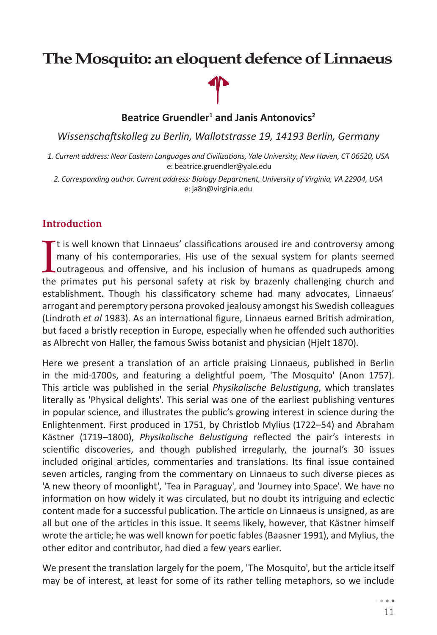# **The Mosquito: an eloquent defence of Linnaeus**

**Beatrice Gruendler<sup>1</sup> and Janis Antonovics<sup>2</sup>**

*Wissenschaftskolleg zu Berlin, Wallotstrasse 19, 14193 Berlin, Germany*

*1. Current address: Near Eastern Languages and Civilizations, Yale University, New Haven, CT 06520, USA* e: beatrice.gruendler@yale.edu

*2. Corresponding author. Current address: Biology Department, University of Virginia, VA 22904, USA* e: ja8n@virginia.edu

### **Introduction**

It is well known that Linnaeus' classifications aroused ire and controversy among<br>many of his contemporaries. His use of the sexual system for plants seemed<br>outrageous and offensive, and his inclusion of humans as quadrupe <sup>t</sup> tis well known that Linnaeus' classifications aroused ire and controversy among many of his contemporaries. His use of the sexual system for plants seemed the primates put his personal safety at risk by brazenly challenging church and establishment. Though his classificatory scheme had many advocates, Linnaeus' arrogant and peremptory persona provoked jealousy amongst his Swedish colleagues (Lindroth *et al* 1983). As an international figure, Linnaeus earned British admiration, but faced a bristly reception in Europe, especially when he offended such authorities as Albrecht von Haller, the famous Swiss botanist and physician (Hjelt 1870).

Here we present a translation of an article praising Linnaeus, published in Berlin in the mid-1700s, and featuring a delightful poem, 'The Mosquito' (Anon 1757). This article was published in the serial *Physikalische Belustigung*, which translates literally as 'Physical delights'. This serial was one of the earliest publishing ventures in popular science, and illustrates the public's growing interest in science during the Enlightenment. First produced in 1751, by Christlob Mylius (1722–54) and Abraham Kästner (1719–1800), *Physikalische Belustigung* reflected the pair's interests in scientific discoveries, and though published irregularly, the journal's 30 issues included original articles, commentaries and translations. Its final issue contained seven articles, ranging from the commentary on Linnaeus to such diverse pieces as 'A new theory of moonlight', 'Tea in Paraguay', and 'Journey into Space'. We have no information on how widely it was circulated, but no doubt its intriguing and eclectic content made for a successful publication. The article on Linnaeus is unsigned, as are all but one of the articles in this issue. It seems likely, however, that Kästner himself wrote the article; he was well known for poetic fables (Baasner 1991), and Mylius, the other editor and contributor, had died a few years earlier.

We present the translation largely for the poem, 'The Mosquito', but the article itself may be of interest, at least for some of its rather telling metaphors, so we include

> $\cdots$ 11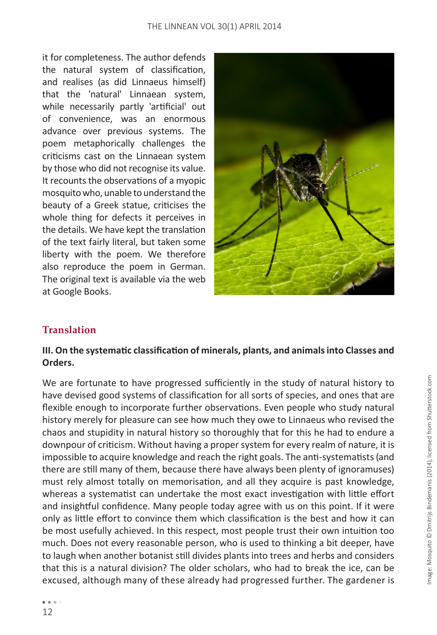#### THE LINNEAN VOL 30(1) APRIL 2014

it for completeness. The author defends the natural system of classification, and realises (as did Linnaeus himself) that the 'natural' Linnaean system, while necessarily partly 'artificial' out of convenience, was an enormous advance over previous systems. The poem metaphorically challenges the criticisms cast on the Linnaean system by those who did not recognise its value. It recounts the observations of a myopic mosquito who, unable to understand the beauty of a Greek statue, criticises the whole thing for defects it perceives in the details. We have kept the translation of the text fairly literal, but taken some liberty with the poem. We therefore also reproduce the poem in German. The original text is available via the web at Google Books.



## **Translation**

### **III. On the systematic classification of minerals, plants, and animals into Classes and Orders.**

We are fortunate to have progressed sufficiently in the study of natural history to have devised good systems of classification for all sorts of species, and ones that are flexible enough to incorporate further observations. Even people who study natural history merely for pleasure can see how much they owe to Linnaeus who revised the chaos and stupidity in natural history so thoroughly that for this he had to endure a downpour of criticism. Without having a proper system for every realm of nature, it is impossible to acquire knowledge and reach the right goals. The anti-systematists (and there are still many of them, because there have always been plenty of ignoramuses) must rely almost totally on memorisation, and all they acquire is past knowledge, whereas a systematist can undertake the most exact investigation with little effort and insightful confidence. Many people today agree with us on this point. If it were only as little effort to convince them which classification is the best and how it can be most usefully achieved. In this respect, most people trust their own intuition too much. Does not every reasonable person, who is used to thinking a bit deeper, have to laugh when another botanist still divides plants into trees and herbs and considers that this is a natural division? The older scholars, who had to break the ice, can be excused, although many of these already had progressed further. The gardener is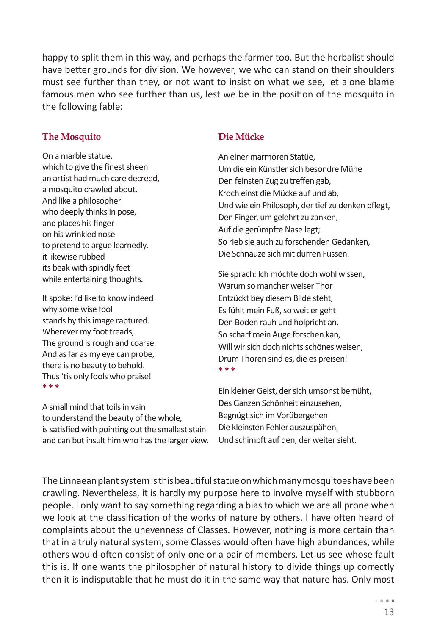happy to split them in this way, and perhaps the farmer too. But the herbalist should have better grounds for division. We however, we who can stand on their shoulders must see further than they, or not want to insist on what we see, let alone blame famous men who see further than us, lest we be in the position of the mosquito in the following fable:

#### **The Mosquito**

On a marble statue, which to give the finest sheen an artist had much care decreed, a mosquito crawled about. And like a philosopher who deeply thinks in pose, and places his finger on his wrinkled nose to pretend to argue learnedly, it likewise rubbed its beak with spindly feet while entertaining thoughts.

It spoke: I'd like to know indeed why some wise fool stands by this image raptured. Wherever my foot treads, The ground is rough and coarse. And as far as my eye can probe, there is no beauty to behold. Thus 'tis only fools who praise! **\* \* \*** 

A small mind that toils in vain to understand the beauty of the whole, is satisfied with pointing out the smallest stain and can but insult him who has the larger view.

#### **Die Mücke**

An einer marmoren Statüe, Um die ein Künstler sich besondre Mühe Den feinsten Zug zu treffen gab, Kroch einst die Mücke auf und ab, Und wie ein Philosoph, der tief zu denken pflegt, Den Finger, um gelehrt zu zanken, Auf die gerümpfte Nase legt; So rieb sie auch zu forschenden Gedanken, Die Schnauze sich mit dürren Füssen.

Sie sprach: Ich möchte doch wohl wissen, Warum so mancher weiser Thor Entzückt bey diesem Bilde steht, Es fühlt mein Fuß, so weit er geht Den Boden rauh und holpricht an. So scharf mein Auge forschen kan, Will wir sich doch nichts schönes weisen, Drum Thoren sind es, die es preisen! **\* \* \***

Ein kleiner Geist, der sich umsonst bemüht, Des Ganzen Schönheit einzusehen, Begnügt sich im Vorübergehen Die kleinsten Fehler auszuspähen, Und schimpft auf den, der weiter sieht.

The Linnaean plant system is this beautiful statue on which many mosquitoes have been crawling. Nevertheless, it is hardly my purpose here to involve myself with stubborn people. I only want to say something regarding a bias to which we are all prone when we look at the classification of the works of nature by others. I have often heard of complaints about the unevenness of Classes. However, nothing is more certain than that in a truly natural system, some Classes would often have high abundances, while others would often consist of only one or a pair of members. Let us see whose fault this is. If one wants the philosopher of natural history to divide things up correctly then it is indisputable that he must do it in the same way that nature has. Only most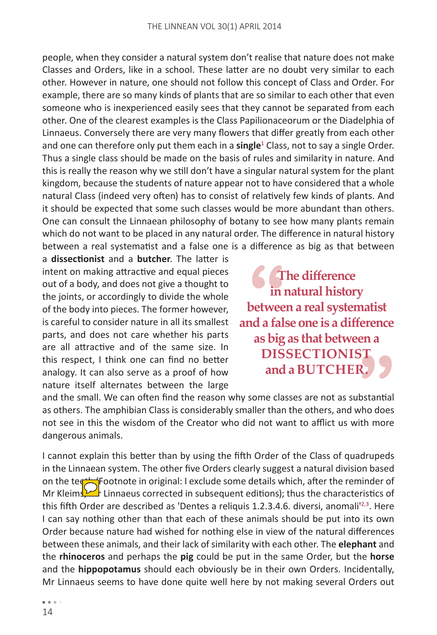people, when they consider a natural system don't realise that nature does not make Classes and Orders, like in a school. These latter are no doubt very similar to each other. However in nature, one should not follow this concept of Class and Order. For example, there are so many kinds of plants that are so similar to each other that even someone who is inexperienced easily sees that they cannot be separated from each other. One of the clearest examples is the Class Papilionaceorum or the Diadelphia of Linnaeus. Conversely there are very many flowers that differ greatly from each other and one can therefore only put them each in a **single**<sup>1</sup> Class, not to say a single Order. Thus a single class should be made on the basis of rules and similarity in nature. And this is really the reason why we still don't have a singular natural system for the plant kingdom, because the students of nature appear not to have considered that a whole natural Class (indeed very often) has to consist of relatively few kinds of plants. And it should be expected that some such classes would be more abundant than others. One can consult the Linnaean philosophy of botany to see how many plants remain which do not want to be placed in any natural order. The difference in natural history between a real systematist and a false one is a difference as big as that between

a **dissectionist** and a **butcher**. The latter is intent on making attractive and equal pieces out of a body, and does not give a thought to the joints, or accordingly to divide the whole of the body into pieces. The former however, is careful to consider nature in all its smallest parts, and does not care whether his parts are all attractive and of the same size. In this respect, I think one can find no better analogy. It can also serve as a proof of how nature itself alternates between the large

**6**<br>betwee<br>ad a fal **The difference in natural history between a real systematist and a false one is a difference as big as that between a DISSECTIONIST and a BUTCHER.**

and the small. We can often find the reason why some classes are not as substantial as others. The amphibian Class is considerably smaller than the others, and who does not see in this the wisdom of the Creator who did not want to afflict us with more dangerous animals. **EXPLEM**<br>bstantial<br>who does<br>ith more

I cannot explain this better than by using the fifth Order of the Class of quadrupeds in the Linnaean system. The other five Orders clearly suggest a natural division based on the teeth (Footnote in original: I exclude some details which, after the reminder of Mr Kleims, Linnaeus corrected in subsequent editions); thus the characteristics of this fifth Order are described as 'Dentes a reliquis 1.2.3.4.6. diversi, anomali<sup>12,3</sup>. Here I can say nothing other than that each of these animals should be put into its own Order because nature had wished for nothing else in view of the natural differences between these animals, and their lack of similarity with each other. The **elephant** and the **rhinoceros** and perhaps the **pig** could be put in the same Order, but the **horse** and the **hippopotamus** should each obviously be in their own Orders. Incidentally, Mr Linnaeus seems to have done quite well here by not making several Orders out